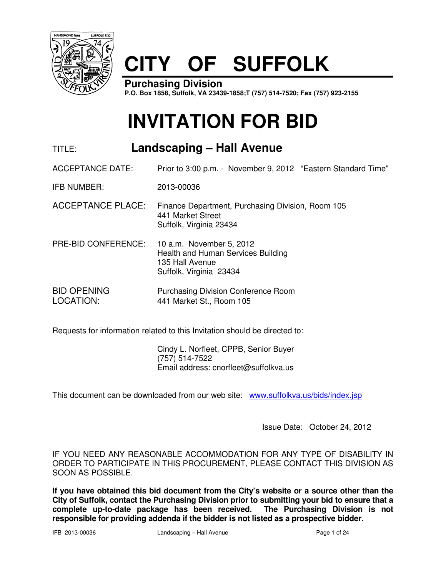

# **CITY OF SUFFOLK**

**Purchasing Division P.O. Box 1858, Suffolk, VA 23439-1858;T (757) 514-7520; Fax (757) 923-2155**

# **INVITATION FOR BID**

# TITLE: **Landscaping – Hall Avenue**

ACCEPTANCE DATE: Prior to 3:00 p.m. - November 9, 2012 "Eastern Standard Time"

IFB NUMBER: 2013-00036

- ACCEPTANCE PLACE: Finance Department, Purchasing Division, Room 105 441 Market Street Suffolk, Virginia 23434
- PRE-BID CONFERENCE: 10 a.m. November 5, 2012 Health and Human Services Building 135 Hall Avenue Suffolk, Virginia 23434
- BID OPENING Purchasing Division Conference Room LOCATION: 441 Market St., Room 105

Requests for information related to this Invitation should be directed to:

 Cindy L. Norfleet, CPPB, Senior Buyer (757) 514-7522 Email address: cnorfleet@suffolkva.us

This document can be downloaded from our web site: www.suffolkva.us/bids/index.jsp

Issue Date: October 24, 2012

IF YOU NEED ANY REASONABLE ACCOMMODATION FOR ANY TYPE OF DISABILITY IN ORDER TO PARTICIPATE IN THIS PROCUREMENT, PLEASE CONTACT THIS DIVISION AS SOON AS POSSIBLE.

**If you have obtained this bid document from the City's website or a source other than the City of Suffolk, contact the Purchasing Division prior to submitting your bid to ensure that a complete up-to-date package has been received. The Purchasing Division is not responsible for providing addenda if the bidder is not listed as a prospective bidder.**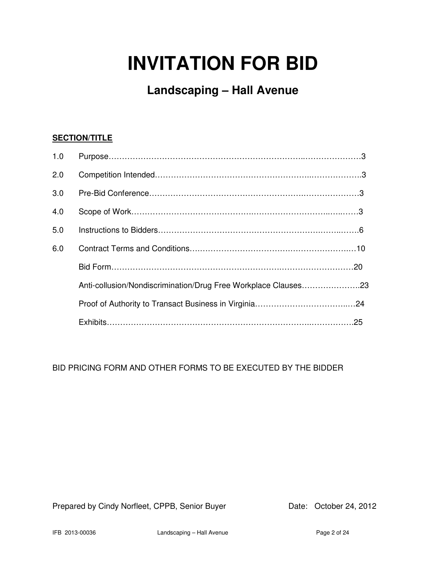# **INVITATION FOR BID**

**Landscaping – Hall Avenue**

# **SECTION/TITLE**

| 1.0 |                                                                |
|-----|----------------------------------------------------------------|
| 2.0 |                                                                |
| 3.0 |                                                                |
| 4.0 |                                                                |
| 5.0 |                                                                |
| 6.0 |                                                                |
|     |                                                                |
|     | Anti-collusion/Nondiscrimination/Drug Free Workplace Clauses23 |
|     |                                                                |
|     |                                                                |

BID PRICING FORM AND OTHER FORMS TO BE EXECUTED BY THE BIDDER

Prepared by Cindy Norfleet, CPPB, Senior Buyer Date: October 24, 2012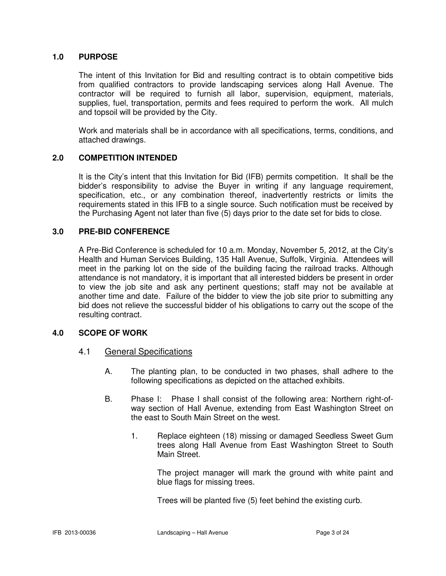## **1.0 PURPOSE**

 The intent of this Invitation for Bid and resulting contract is to obtain competitive bids from qualified contractors to provide landscaping services along Hall Avenue. The contractor will be required to furnish all labor, supervision, equipment, materials, supplies, fuel, transportation, permits and fees required to perform the work. All mulch and topsoil will be provided by the City.

 Work and materials shall be in accordance with all specifications, terms, conditions, and attached drawings.

## **2.0 COMPETITION INTENDED**

It is the City's intent that this Invitation for Bid (IFB) permits competition. It shall be the bidder's responsibility to advise the Buyer in writing if any language requirement, specification, etc., or any combination thereof, inadvertently restricts or limits the requirements stated in this IFB to a single source. Such notification must be received by the Purchasing Agent not later than five (5) days prior to the date set for bids to close.

### **3.0 PRE-BID CONFERENCE**

A Pre-Bid Conference is scheduled for 10 a.m. Monday, November 5, 2012, at the City's Health and Human Services Building, 135 Hall Avenue, Suffolk, Virginia. Attendees will meet in the parking lot on the side of the building facing the railroad tracks. Although attendance is not mandatory, it is important that all interested bidders be present in order to view the job site and ask any pertinent questions; staff may not be available at another time and date. Failure of the bidder to view the job site prior to submitting any bid does not relieve the successful bidder of his obligations to carry out the scope of the resulting contract.

### **4.0 SCOPE OF WORK**

- 4.1 General Specifications
	- A. The planting plan, to be conducted in two phases, shall adhere to the following specifications as depicted on the attached exhibits.
	- B. Phase I: Phase I shall consist of the following area: Northern right-ofway section of Hall Avenue, extending from East Washington Street on the east to South Main Street on the west.
		- 1. Replace eighteen (18) missing or damaged Seedless Sweet Gum trees along Hall Avenue from East Washington Street to South Main Street.

 The project manager will mark the ground with white paint and blue flags for missing trees.

Trees will be planted five (5) feet behind the existing curb.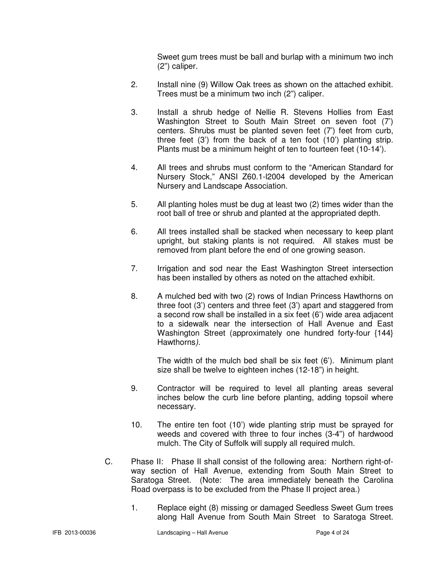Sweet gum trees must be ball and burlap with a minimum two inch (2") caliper.

- 2. Install nine (9) Willow Oak trees as shown on the attached exhibit. Trees must be a minimum two inch (2") caliper.
- 3. Install a shrub hedge of Nellie R. Stevens Hollies from East Washington Street to South Main Street on seven foot (7') centers. Shrubs must be planted seven feet (7') feet from curb, three feet (3') from the back of a ten foot (10') planting strip. Plants must be a minimum height of ten to fourteen feet (10-14').
- 4. All trees and shrubs must conform to the "American Standard for Nursery Stock," ANSI Z60.1-l2004 developed by the American Nursery and Landscape Association.
- 5. All planting holes must be dug at least two (2) times wider than the root ball of tree or shrub and planted at the appropriated depth.
- 6. All trees installed shall be stacked when necessary to keep plant upright, but staking plants is not required. All stakes must be removed from plant before the end of one growing season.
- 7. Irrigation and sod near the East Washington Street intersection has been installed by others as noted on the attached exhibit.
- 8. A mulched bed with two (2) rows of Indian Princess Hawthorns on three foot (3') centers and three feet (3') apart and staggered from a second row shall be installed in a six feet (6') wide area adjacent to a sidewalk near the intersection of Hall Avenue and East Washington Street (approximately one hundred forty-four {144} Hawthorns).

The width of the mulch bed shall be six feet (6'). Minimum plant size shall be twelve to eighteen inches (12-18") in height.

- 9. Contractor will be required to level all planting areas several inches below the curb line before planting, adding topsoil where necessary.
- 10. The entire ten foot (10') wide planting strip must be sprayed for weeds and covered with three to four inches (3-4") of hardwood mulch. The City of Suffolk will supply all required mulch.
- C. Phase II: Phase II shall consist of the following area: Northern right-ofway section of Hall Avenue, extending from South Main Street to Saratoga Street. (Note: The area immediately beneath the Carolina Road overpass is to be excluded from the Phase II project area.)
	- 1. Replace eight (8) missing or damaged Seedless Sweet Gum trees along Hall Avenue from South Main Street to Saratoga Street.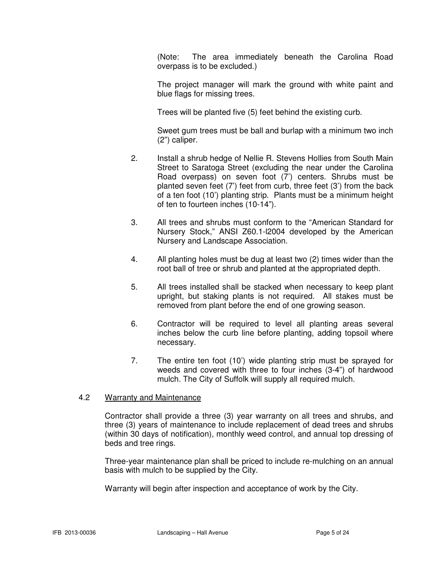(Note: The area immediately beneath the Carolina Road overpass is to be excluded.)

 The project manager will mark the ground with white paint and blue flags for missing trees.

Trees will be planted five (5) feet behind the existing curb.

Sweet gum trees must be ball and burlap with a minimum two inch (2") caliper.

- 2. Install a shrub hedge of Nellie R. Stevens Hollies from South Main Street to Saratoga Street (excluding the near under the Carolina Road overpass) on seven foot (7') centers. Shrubs must be planted seven feet (7') feet from curb, three feet (3') from the back of a ten foot (10') planting strip. Plants must be a minimum height of ten to fourteen inches (10-14").
- 3. All trees and shrubs must conform to the "American Standard for Nursery Stock," ANSI Z60.1-l2004 developed by the American Nursery and Landscape Association.
- 4. All planting holes must be dug at least two (2) times wider than the root ball of tree or shrub and planted at the appropriated depth.
- 5. All trees installed shall be stacked when necessary to keep plant upright, but staking plants is not required. All stakes must be removed from plant before the end of one growing season.
- 6. Contractor will be required to level all planting areas several inches below the curb line before planting, adding topsoil where necessary.
- 7. The entire ten foot (10') wide planting strip must be sprayed for weeds and covered with three to four inches (3-4") of hardwood mulch. The City of Suffolk will supply all required mulch.

## 4.2 Warranty and Maintenance

 Contractor shall provide a three (3) year warranty on all trees and shrubs, and three (3) years of maintenance to include replacement of dead trees and shrubs (within 30 days of notification), monthly weed control, and annual top dressing of beds and tree rings.

 Three-year maintenance plan shall be priced to include re-mulching on an annual basis with mulch to be supplied by the City.

Warranty will begin after inspection and acceptance of work by the City.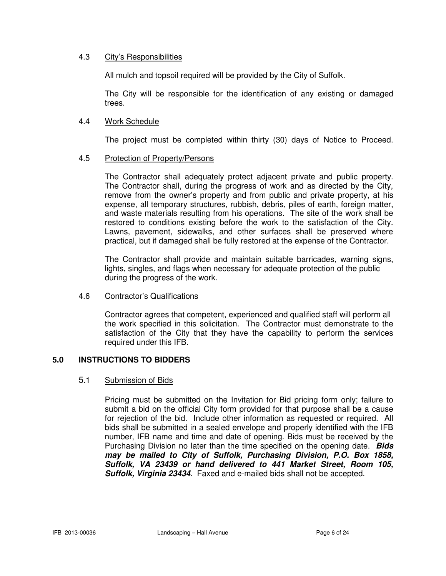## 4.3 City's Responsibilities

All mulch and topsoil required will be provided by the City of Suffolk.

 The City will be responsible for the identification of any existing or damaged trees.

## 4.4 Work Schedule

The project must be completed within thirty (30) days of Notice to Proceed.

## 4.5 Protection of Property/Persons

 The Contractor shall adequately protect adjacent private and public property. The Contractor shall, during the progress of work and as directed by the City, remove from the owner's property and from public and private property, at his expense, all temporary structures, rubbish, debris, piles of earth, foreign matter, and waste materials resulting from his operations. The site of the work shall be restored to conditions existing before the work to the satisfaction of the City. Lawns, pavement, sidewalks, and other surfaces shall be preserved where practical, but if damaged shall be fully restored at the expense of the Contractor.

 The Contractor shall provide and maintain suitable barricades, warning signs, lights, singles, and flags when necessary for adequate protection of the public during the progress of the work.

### 4.6 Contractor's Qualifications

 Contractor agrees that competent, experienced and qualified staff will perform all the work specified in this solicitation. The Contractor must demonstrate to the satisfaction of the City that they have the capability to perform the services required under this IFB.

## **5.0 INSTRUCTIONS TO BIDDERS**

### 5.1 Submission of Bids

Pricing must be submitted on the Invitation for Bid pricing form only; failure to submit a bid on the official City form provided for that purpose shall be a cause for rejection of the bid. Include other information as requested or required. All bids shall be submitted in a sealed envelope and properly identified with the IFB number, IFB name and time and date of opening. Bids must be received by the Purchasing Division no later than the time specified on the opening date. **Bids may be mailed to City of Suffolk, Purchasing Division, P.O. Box 1858, Suffolk, VA 23439 or hand delivered to 441 Market Street, Room 105, Suffolk, Virginia 23434**. Faxed and e-mailed bids shall not be accepted.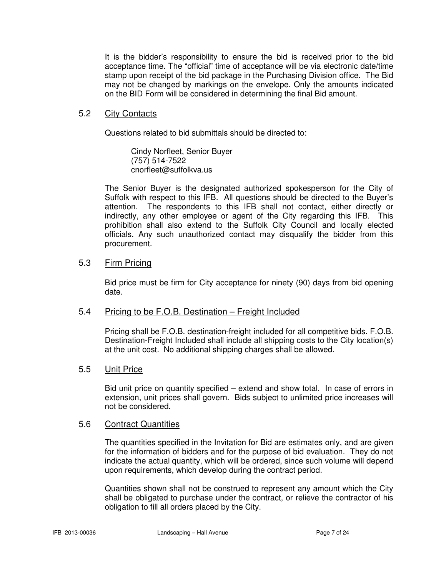It is the bidder's responsibility to ensure the bid is received prior to the bid acceptance time. The "official" time of acceptance will be via electronic date/time stamp upon receipt of the bid package in the Purchasing Division office. The Bid may not be changed by markings on the envelope. Only the amounts indicated on the BID Form will be considered in determining the final Bid amount.

## 5.2 City Contacts

Questions related to bid submittals should be directed to:

 Cindy Norfleet, Senior Buyer (757) 514-7522 cnorfleet@suffolkva.us

The Senior Buyer is the designated authorized spokesperson for the City of Suffolk with respect to this IFB. All questions should be directed to the Buyer's attention. The respondents to this IFB shall not contact, either directly or indirectly, any other employee or agent of the City regarding this IFB. This prohibition shall also extend to the Suffolk City Council and locally elected officials. Any such unauthorized contact may disqualify the bidder from this procurement.

## 5.3 Firm Pricing

Bid price must be firm for City acceptance for ninety (90) days from bid opening date.

## 5.4 Pricing to be F.O.B. Destination – Freight Included

Pricing shall be F.O.B. destination-freight included for all competitive bids. F.O.B. Destination-Freight Included shall include all shipping costs to the City location(s) at the unit cost. No additional shipping charges shall be allowed.

## 5.5 Unit Price

Bid unit price on quantity specified – extend and show total. In case of errors in extension, unit prices shall govern. Bids subject to unlimited price increases will not be considered.

## 5.6 Contract Quantities

The quantities specified in the Invitation for Bid are estimates only, and are given for the information of bidders and for the purpose of bid evaluation. They do not indicate the actual quantity, which will be ordered, since such volume will depend upon requirements, which develop during the contract period.

Quantities shown shall not be construed to represent any amount which the City shall be obligated to purchase under the contract, or relieve the contractor of his obligation to fill all orders placed by the City.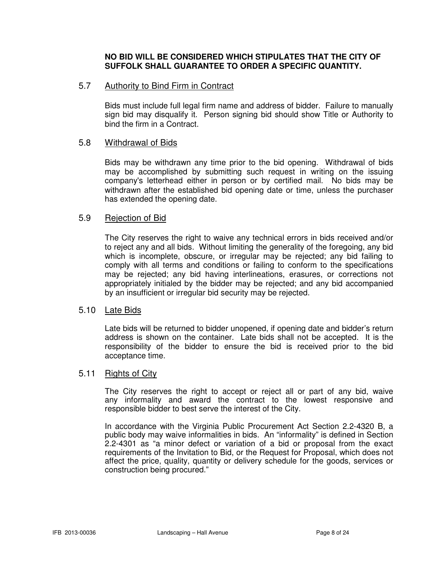## **NO BID WILL BE CONSIDERED WHICH STIPULATES THAT THE CITY OF SUFFOLK SHALL GUARANTEE TO ORDER A SPECIFIC QUANTITY.**

## 5.7 Authority to Bind Firm in Contract

Bids must include full legal firm name and address of bidder. Failure to manually sign bid may disqualify it. Person signing bid should show Title or Authority to bind the firm in a Contract.

## 5.8 Withdrawal of Bids

Bids may be withdrawn any time prior to the bid opening. Withdrawal of bids may be accomplished by submitting such request in writing on the issuing company's letterhead either in person or by certified mail. No bids may be withdrawn after the established bid opening date or time, unless the purchaser has extended the opening date.

## 5.9 Rejection of Bid

The City reserves the right to waive any technical errors in bids received and/or to reject any and all bids. Without limiting the generality of the foregoing, any bid which is incomplete, obscure, or irregular may be rejected; any bid failing to comply with all terms and conditions or failing to conform to the specifications may be rejected; any bid having interlineations, erasures, or corrections not appropriately initialed by the bidder may be rejected; and any bid accompanied by an insufficient or irregular bid security may be rejected.

## 5.10 Late Bids

Late bids will be returned to bidder unopened, if opening date and bidder's return address is shown on the container. Late bids shall not be accepted. It is the responsibility of the bidder to ensure the bid is received prior to the bid acceptance time.

## 5.11 Rights of City

 The City reserves the right to accept or reject all or part of any bid, waive any informality and award the contract to the lowest responsive and responsible bidder to best serve the interest of the City.

 In accordance with the Virginia Public Procurement Act Section 2.2-4320 B, a public body may waive informalities in bids. An "informality" is defined in Section 2.2-4301 as "a minor defect or variation of a bid or proposal from the exact requirements of the Invitation to Bid, or the Request for Proposal, which does not affect the price, quality, quantity or delivery schedule for the goods, services or construction being procured."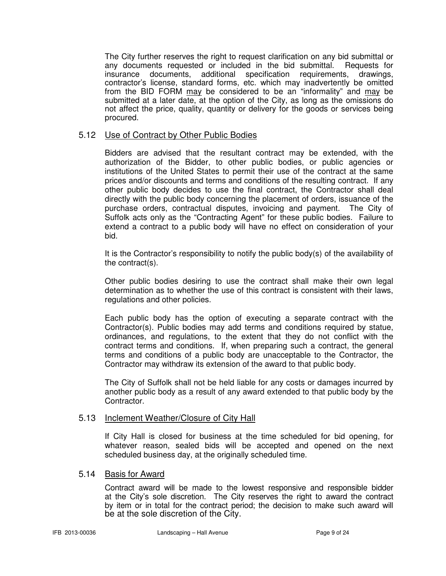The City further reserves the right to request clarification on any bid submittal or any documents requested or included in the bid submittal. Requests for insurance documents, additional specification requirements, drawings, contractor's license, standard forms, etc. which may inadvertently be omitted from the BID FORM may be considered to be an "informality" and may be submitted at a later date, at the option of the City, as long as the omissions do not affect the price, quality, quantity or delivery for the goods or services being procured.

## 5.12 Use of Contract by Other Public Bodies

Bidders are advised that the resultant contract may be extended, with the authorization of the Bidder, to other public bodies, or public agencies or institutions of the United States to permit their use of the contract at the same prices and/or discounts and terms and conditions of the resulting contract. If any other public body decides to use the final contract, the Contractor shall deal directly with the public body concerning the placement of orders, issuance of the purchase orders, contractual disputes, invoicing and payment. The City of Suffolk acts only as the "Contracting Agent" for these public bodies. Failure to extend a contract to a public body will have no effect on consideration of your bid.

It is the Contractor's responsibility to notify the public body(s) of the availability of the contract(s).

Other public bodies desiring to use the contract shall make their own legal determination as to whether the use of this contract is consistent with their laws, regulations and other policies.

Each public body has the option of executing a separate contract with the Contractor(s). Public bodies may add terms and conditions required by statue, ordinances, and regulations, to the extent that they do not conflict with the contract terms and conditions. If, when preparing such a contract, the general terms and conditions of a public body are unacceptable to the Contractor, the Contractor may withdraw its extension of the award to that public body.

The City of Suffolk shall not be held liable for any costs or damages incurred by another public body as a result of any award extended to that public body by the Contractor.

## 5.13 Inclement Weather/Closure of City Hall

If City Hall is closed for business at the time scheduled for bid opening, for whatever reason, sealed bids will be accepted and opened on the next scheduled business day, at the originally scheduled time.

## 5.14 Basis for Award

 Contract award will be made to the lowest responsive and responsible bidder at the City's sole discretion. The City reserves the right to award the contract by item or in total for the contract period; the decision to make such award will be at the sole discretion of the City.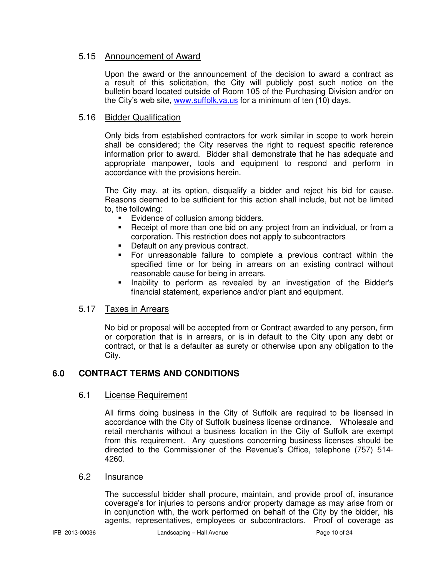## 5.15 Announcement of Award

 Upon the award or the announcement of the decision to award a contract as a result of this solicitation, the City will publicly post such notice on the bulletin board located outside of Room 105 of the Purchasing Division and/or on the City's web site, www.suffolk.va.us for a minimum of ten (10) days.

## 5.16 Bidder Qualification

Only bids from established contractors for work similar in scope to work herein shall be considered; the City reserves the right to request specific reference information prior to award. Bidder shall demonstrate that he has adequate and appropriate manpower, tools and equipment to respond and perform in accordance with the provisions herein.

The City may, at its option, disqualify a bidder and reject his bid for cause. Reasons deemed to be sufficient for this action shall include, but not be limited to, the following:

- Evidence of collusion among bidders.
- **-** Receipt of more than one bid on any project from an individual, or from a corporation. This restriction does not apply to subcontractors
- Default on any previous contract.
- For unreasonable failure to complete a previous contract within the specified time or for being in arrears on an existing contract without reasonable cause for being in arrears.
- Inability to perform as revealed by an investigation of the Bidder's financial statement, experience and/or plant and equipment.

## 5.17 Taxes in Arrears

No bid or proposal will be accepted from or Contract awarded to any person, firm or corporation that is in arrears, or is in default to the City upon any debt or contract, or that is a defaulter as surety or otherwise upon any obligation to the City.

## **6.0 CONTRACT TERMS AND CONDITIONS**

## 6.1 License Requirement

All firms doing business in the City of Suffolk are required to be licensed in accordance with the City of Suffolk business license ordinance. Wholesale and retail merchants without a business location in the City of Suffolk are exempt from this requirement. Any questions concerning business licenses should be directed to the Commissioner of the Revenue's Office, telephone (757) 514- 4260.

### 6.2 Insurance

 The successful bidder shall procure, maintain, and provide proof of, insurance coverage's for injuries to persons and/or property damage as may arise from or in conjunction with, the work performed on behalf of the City by the bidder, his agents, representatives, employees or subcontractors. Proof of coverage as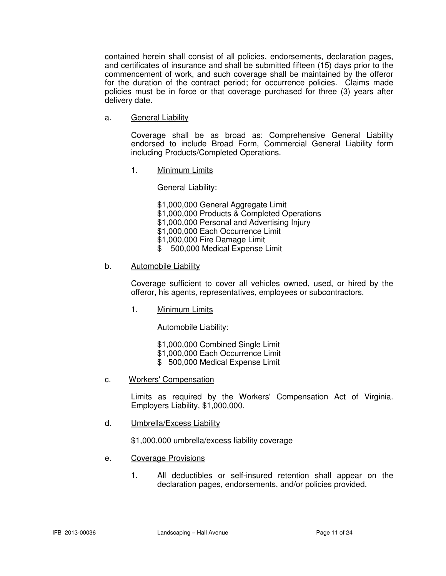contained herein shall consist of all policies, endorsements, declaration pages, and certificates of insurance and shall be submitted fifteen (15) days prior to the commencement of work, and such coverage shall be maintained by the offeror for the duration of the contract period; for occurrence policies. Claims made policies must be in force or that coverage purchased for three (3) years after delivery date.

a. General Liability

 Coverage shall be as broad as: Comprehensive General Liability endorsed to include Broad Form, Commercial General Liability form including Products/Completed Operations.

1. Minimum Limits

General Liability:

\$1,000,000 General Aggregate Limit

- \$1,000,000 Products & Completed Operations
- \$1,000,000 Personal and Advertising Injury
- \$1,000,000 Each Occurrence Limit
- \$1,000,000 Fire Damage Limit
- \$ 500,000 Medical Expense Limit

### b. Automobile Liability

 Coverage sufficient to cover all vehicles owned, used, or hired by the offeror, his agents, representatives, employees or subcontractors.

1. Minimum Limits

Automobile Liability:

\$1,000,000 Combined Single Limit

- \$1,000,000 Each Occurrence Limit
- \$ 500,000 Medical Expense Limit
- c. Workers' Compensation

 Limits as required by the Workers' Compensation Act of Virginia. Employers Liability, \$1,000,000.

d. Umbrella/Excess Liability

\$1,000,000 umbrella/excess liability coverage

- e. Coverage Provisions
	- 1. All deductibles or self-insured retention shall appear on the declaration pages, endorsements, and/or policies provided.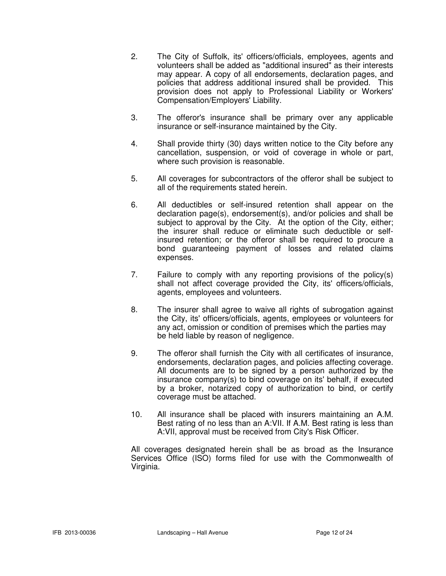- 2. The City of Suffolk, its' officers/officials, employees, agents and volunteers shall be added as "additional insured" as their interests may appear. A copy of all endorsements, declaration pages, and policies that address additional insured shall be provided. This provision does not apply to Professional Liability or Workers' Compensation/Employers' Liability.
- 3. The offeror's insurance shall be primary over any applicable insurance or self-insurance maintained by the City.
- 4. Shall provide thirty (30) days written notice to the City before any cancellation, suspension, or void of coverage in whole or part, where such provision is reasonable.
- 5. All coverages for subcontractors of the offeror shall be subject to all of the requirements stated herein.
- 6. All deductibles or self-insured retention shall appear on the declaration page(s), endorsement(s), and/or policies and shall be subject to approval by the City. At the option of the City, either; the insurer shall reduce or eliminate such deductible or self insured retention; or the offeror shall be required to procure a bond guaranteeing payment of losses and related claims expenses.
- 7. Failure to comply with any reporting provisions of the policy(s) shall not affect coverage provided the City, its' officers/officials, agents, employees and volunteers.
- 8. The insurer shall agree to waive all rights of subrogation against the City, its' officers/officials, agents, employees or volunteers for any act, omission or condition of premises which the parties may be held liable by reason of negligence.
- 9. The offeror shall furnish the City with all certificates of insurance, endorsements, declaration pages, and policies affecting coverage. All documents are to be signed by a person authorized by the insurance company(s) to bind coverage on its' behalf, if executed by a broker, notarized copy of authorization to bind, or certify coverage must be attached.
- 10. All insurance shall be placed with insurers maintaining an A.M. Best rating of no less than an A:VII. If A.M. Best rating is less than A:VII, approval must be received from City's Risk Officer.

 All coverages designated herein shall be as broad as the Insurance Services Office (ISO) forms filed for use with the Commonwealth of Virginia.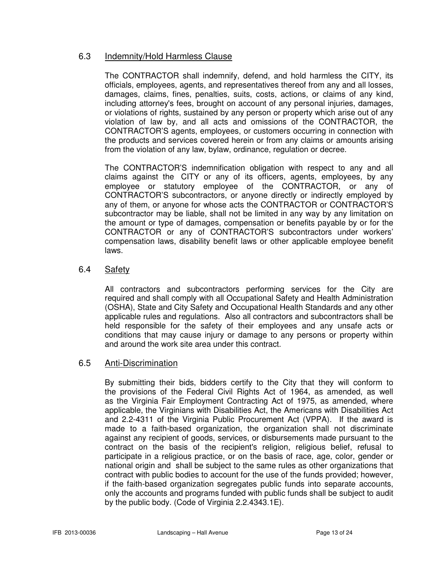## 6.3 Indemnity/Hold Harmless Clause

The CONTRACTOR shall indemnify, defend, and hold harmless the CITY, its officials, employees, agents, and representatives thereof from any and all losses, damages, claims, fines, penalties, suits, costs, actions, or claims of any kind, including attorney's fees, brought on account of any personal injuries, damages, or violations of rights, sustained by any person or property which arise out of any violation of law by, and all acts and omissions of the CONTRACTOR, the CONTRACTOR'S agents, employees, or customers occurring in connection with the products and services covered herein or from any claims or amounts arising from the violation of any law, bylaw, ordinance, regulation or decree.

The CONTRACTOR'S indemnification obligation with respect to any and all claims against the CITY or any of its officers, agents, employees, by any employee or statutory employee of the CONTRACTOR, or any of CONTRACTOR'S subcontractors, or anyone directly or indirectly employed by any of them, or anyone for whose acts the CONTRACTOR or CONTRACTOR'S subcontractor may be liable, shall not be limited in any way by any limitation on the amount or type of damages, compensation or benefits payable by or for the CONTRACTOR or any of CONTRACTOR'S subcontractors under workers' compensation laws, disability benefit laws or other applicable employee benefit laws.

## 6.4 Safety

 All contractors and subcontractors performing services for the City are required and shall comply with all Occupational Safety and Health Administration (OSHA), State and City Safety and Occupational Health Standards and any other applicable rules and regulations. Also all contractors and subcontractors shall be held responsible for the safety of their employees and any unsafe acts or conditions that may cause injury or damage to any persons or property within and around the work site area under this contract.

## 6.5 Anti-Discrimination

 By submitting their bids, bidders certify to the City that they will conform to the provisions of the Federal Civil Rights Act of 1964, as amended, as well as the Virginia Fair Employment Contracting Act of 1975, as amended, where applicable, the Virginians with Disabilities Act, the Americans with Disabilities Act and 2.2-4311 of the Virginia Public Procurement Act (VPPA). If the award is made to a faith-based organization, the organization shall not discriminate against any recipient of goods, services, or disbursements made pursuant to the contract on the basis of the recipient's religion, religious belief, refusal to participate in a religious practice, or on the basis of race, age, color, gender or national origin and shall be subject to the same rules as other organizations that contract with public bodies to account for the use of the funds provided; however, if the faith-based organization segregates public funds into separate accounts, only the accounts and programs funded with public funds shall be subject to audit by the public body. (Code of Virginia 2.2.4343.1E).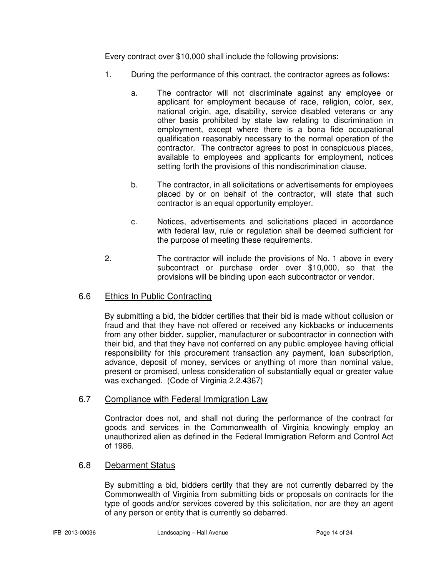Every contract over \$10,000 shall include the following provisions:

- 1. During the performance of this contract, the contractor agrees as follows:
	- a. The contractor will not discriminate against any employee or applicant for employment because of race, religion, color, sex, national origin, age, disability, service disabled veterans or any other basis prohibited by state law relating to discrimination in employment, except where there is a bona fide occupational qualification reasonably necessary to the normal operation of the contractor. The contractor agrees to post in conspicuous places, available to employees and applicants for employment, notices setting forth the provisions of this nondiscrimination clause.
	- b. The contractor, in all solicitations or advertisements for employees placed by or on behalf of the contractor, will state that such contractor is an equal opportunity employer.
	- c. Notices, advertisements and solicitations placed in accordance with federal law, rule or regulation shall be deemed sufficient for the purpose of meeting these requirements.
- 2. The contractor will include the provisions of No. 1 above in every subcontract or purchase order over \$10,000, so that the provisions will be binding upon each subcontractor or vendor.

## 6.6 Ethics In Public Contracting

By submitting a bid, the bidder certifies that their bid is made without collusion or fraud and that they have not offered or received any kickbacks or inducements from any other bidder, supplier, manufacturer or subcontractor in connection with their bid, and that they have not conferred on any public employee having official responsibility for this procurement transaction any payment, loan subscription, advance, deposit of money, services or anything of more than nominal value, present or promised, unless consideration of substantially equal or greater value was exchanged. (Code of Virginia 2.2.4367)

## 6.7 Compliance with Federal Immigration Law

Contractor does not, and shall not during the performance of the contract for goods and services in the Commonwealth of Virginia knowingly employ an unauthorized alien as defined in the Federal Immigration Reform and Control Act of 1986.

## 6.8 Debarment Status

By submitting a bid, bidders certify that they are not currently debarred by the Commonwealth of Virginia from submitting bids or proposals on contracts for the type of goods and/or services covered by this solicitation, nor are they an agent of any person or entity that is currently so debarred.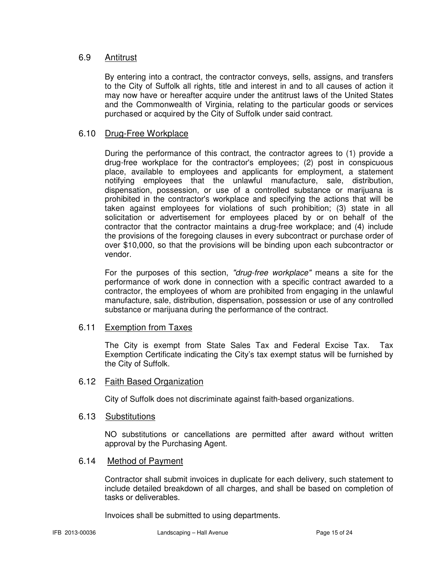## 6.9 Antitrust

By entering into a contract, the contractor conveys, sells, assigns, and transfers to the City of Suffolk all rights, title and interest in and to all causes of action it may now have or hereafter acquire under the antitrust laws of the United States and the Commonwealth of Virginia, relating to the particular goods or services purchased or acquired by the City of Suffolk under said contract.

## 6.10 Drug-Free Workplace

During the performance of this contract, the contractor agrees to (1) provide a drug-free workplace for the contractor's employees; (2) post in conspicuous place, available to employees and applicants for employment, a statement notifying employees that the unlawful manufacture, sale, distribution, dispensation, possession, or use of a controlled substance or marijuana is prohibited in the contractor's workplace and specifying the actions that will be taken against employees for violations of such prohibition; (3) state in all solicitation or advertisement for employees placed by or on behalf of the contractor that the contractor maintains a drug-free workplace; and (4) include the provisions of the foregoing clauses in every subcontract or purchase order of over \$10,000, so that the provisions will be binding upon each subcontractor or vendor.

For the purposes of this section, "drug-free workplace" means a site for the performance of work done in connection with a specific contract awarded to a contractor, the employees of whom are prohibited from engaging in the unlawful manufacture, sale, distribution, dispensation, possession or use of any controlled substance or marijuana during the performance of the contract.

## 6.11 Exemption from Taxes

The City is exempt from State Sales Tax and Federal Excise Tax. Tax Exemption Certificate indicating the City's tax exempt status will be furnished by the City of Suffolk.

## 6.12 Faith Based Organization

City of Suffolk does not discriminate against faith-based organizations.

## 6.13 Substitutions

NO substitutions or cancellations are permitted after award without written approval by the Purchasing Agent.

## 6.14 Method of Payment

Contractor shall submit invoices in duplicate for each delivery, such statement to include detailed breakdown of all charges, and shall be based on completion of tasks or deliverables.

Invoices shall be submitted to using departments.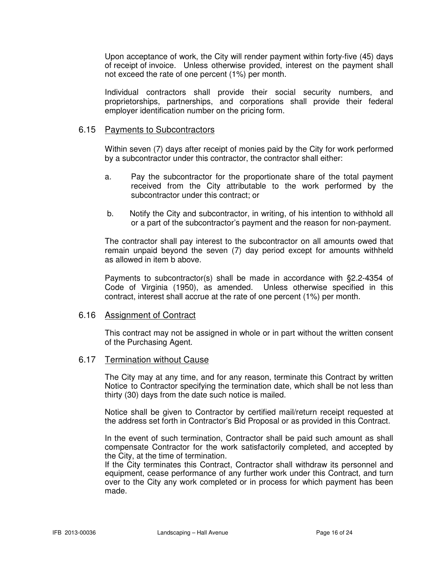Upon acceptance of work, the City will render payment within forty-five (45) days of receipt of invoice. Unless otherwise provided, interest on the payment shall not exceed the rate of one percent (1%) per month.

Individual contractors shall provide their social security numbers, and proprietorships, partnerships, and corporations shall provide their federal employer identification number on the pricing form.

## 6.15 Payments to Subcontractors

Within seven (7) days after receipt of monies paid by the City for work performed by a subcontractor under this contractor, the contractor shall either:

- a. Pay the subcontractor for the proportionate share of the total payment received from the City attributable to the work performed by the subcontractor under this contract; or
- b. Notify the City and subcontractor, in writing, of his intention to withhold all or a part of the subcontractor's payment and the reason for non-payment.

The contractor shall pay interest to the subcontractor on all amounts owed that remain unpaid beyond the seven (7) day period except for amounts withheld as allowed in item b above.

Payments to subcontractor(s) shall be made in accordance with §2.2-4354 of Code of Virginia (1950), as amended. Unless otherwise specified in this contract, interest shall accrue at the rate of one percent (1%) per month.

## 6.16 Assignment of Contract

This contract may not be assigned in whole or in part without the written consent of the Purchasing Agent.

## 6.17 Termination without Cause

 The City may at any time, and for any reason, terminate this Contract by written Notice to Contractor specifying the termination date, which shall be not less than thirty (30) days from the date such notice is mailed.

 Notice shall be given to Contractor by certified mail/return receipt requested at the address set forth in Contractor's Bid Proposal or as provided in this Contract.

 In the event of such termination, Contractor shall be paid such amount as shall compensate Contractor for the work satisfactorily completed, and accepted by the City, at the time of termination.

 If the City terminates this Contract, Contractor shall withdraw its personnel and equipment, cease performance of any further work under this Contract, and turn over to the City any work completed or in process for which payment has been made.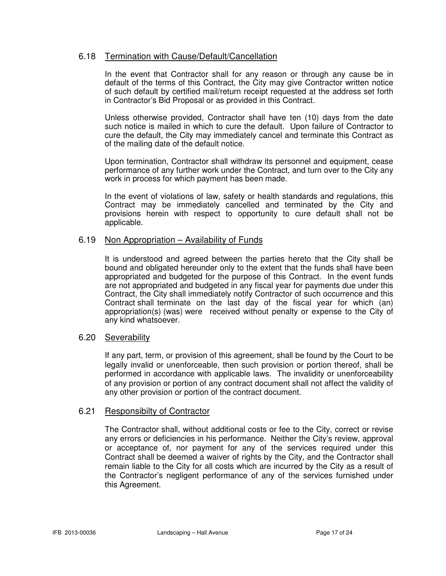## 6.18 Termination with Cause/Default/Cancellation

 In the event that Contractor shall for any reason or through any cause be in default of the terms of this Contract, the City may give Contractor written notice of such default by certified mail/return receipt requested at the address set forth in Contractor's Bid Proposal or as provided in this Contract.

 Unless otherwise provided, Contractor shall have ten (10) days from the date such notice is mailed in which to cure the default. Upon failure of Contractor to cure the default, the City may immediately cancel and terminate this Contract as of the mailing date of the default notice.

 Upon termination, Contractor shall withdraw its personnel and equipment, cease performance of any further work under the Contract, and turn over to the City any work in process for which payment has been made.

 In the event of violations of law, safety or health standards and regulations, this Contract may be immediately cancelled and terminated by the City and provisions herein with respect to opportunity to cure default shall not be applicable.

## 6.19 Non Appropriation – Availability of Funds

 It is understood and agreed between the parties hereto that the City shall be bound and obligated hereunder only to the extent that the funds shall have been appropriated and budgeted for the purpose of this Contract. In the event funds are not appropriated and budgeted in any fiscal year for payments due under this Contract, the City shall immediately notify Contractor of such occurrence and this Contract shall terminate on the last day of the fiscal year for which (an) appropriation(s) (was) were received without penalty or expense to the City of any kind whatsoever.

### 6.20 Severability

If any part, term, or provision of this agreement, shall be found by the Court to be legally invalid or unenforceable, then such provision or portion thereof, shall be performed in accordance with applicable laws. The invalidity or unenforceability of any provision or portion of any contract document shall not affect the validity of any other provision or portion of the contract document.

## 6.21 Responsibilty of Contractor

The Contractor shall, without additional costs or fee to the City, correct or revise any errors or deficiencies in his performance. Neither the City's review, approval or acceptance of, nor payment for any of the services required under this Contract shall be deemed a waiver of rights by the City, and the Contractor shall remain liable to the City for all costs which are incurred by the City as a result of the Contractor's negligent performance of any of the services furnished under this Agreement.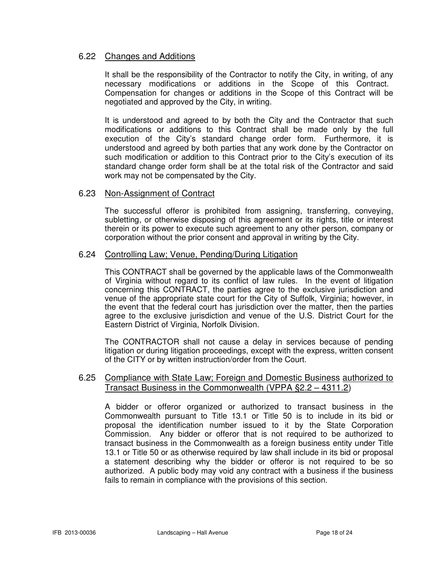## 6.22 Changes and Additions

It shall be the responsibility of the Contractor to notify the City, in writing, of any necessary modifications or additions in the Scope of this Contract. Compensation for changes or additions in the Scope of this Contract will be negotiated and approved by the City, in writing.

It is understood and agreed to by both the City and the Contractor that such modifications or additions to this Contract shall be made only by the full execution of the City's standard change order form. Furthermore, it is understood and agreed by both parties that any work done by the Contractor on such modification or addition to this Contract prior to the City's execution of its standard change order form shall be at the total risk of the Contractor and said work may not be compensated by the City.

## 6.23 Non-Assignment of Contract

 The successful offeror is prohibited from assigning, transferring, conveying, subletting, or otherwise disposing of this agreement or its rights, title or interest therein or its power to execute such agreement to any other person, company or corporation without the prior consent and approval in writing by the City.

## 6.24 Controlling Law; Venue, Pending/During Litigation

 This CONTRACT shall be governed by the applicable laws of the Commonwealth of Virginia without regard to its conflict of law rules. In the event of litigation concerning this CONTRACT, the parties agree to the exclusive jurisdiction and venue of the appropriate state court for the City of Suffolk, Virginia; however, in the event that the federal court has jurisdiction over the matter, then the parties agree to the exclusive jurisdiction and venue of the U.S. District Court for the Eastern District of Virginia, Norfolk Division.

 The CONTRACTOR shall not cause a delay in services because of pending litigation or during litigation proceedings, except with the express, written consent of the CITY or by written instruction/order from the Court.

## 6.25 Compliance with State Law; Foreign and Domestic Business authorized to Transact Business in the Commonwealth (VPPA §2.2 – 4311.2)

 A bidder or offeror organized or authorized to transact business in the Commonwealth pursuant to Title 13.1 or Title 50 is to include in its bid or proposal the identification number issued to it by the State Corporation Commission. Any bidder or offeror that is not required to be authorized to transact business in the Commonwealth as a foreign business entity under Title 13.1 or Title 50 or as otherwise required by law shall include in its bid or proposal a statement describing why the bidder or offeror is not required to be so authorized. A public body may void any contract with a business if the business fails to remain in compliance with the provisions of this section.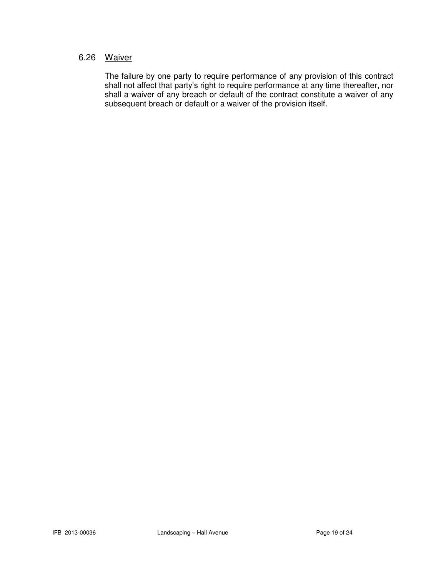## 6.26 Waiver

 The failure by one party to require performance of any provision of this contract shall not affect that party's right to require performance at any time thereafter, nor shall a waiver of any breach or default of the contract constitute a waiver of any subsequent breach or default or a waiver of the provision itself.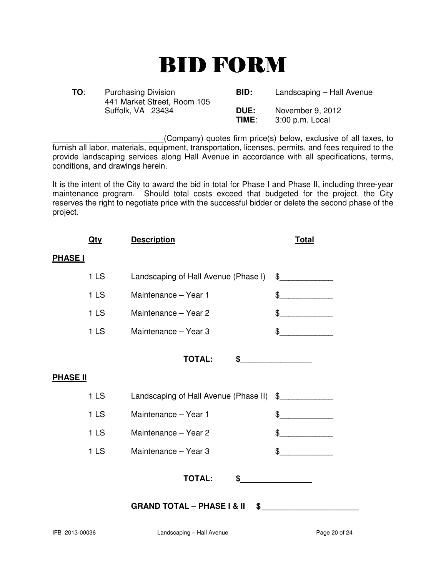# BID FORM

| TO: | <b>Purchasing Division</b><br>441 Market Street, Room 105 | BID:          | Landscaping - Hall Avenue           |
|-----|-----------------------------------------------------------|---------------|-------------------------------------|
|     | Suffolk, VA 23434                                         | DUE:<br>TIME: | November 9, 2012<br>3:00 p.m. Local |

\_\_\_\_\_\_\_\_\_\_\_\_\_\_\_\_\_\_\_\_\_\_\_\_\_(Company) quotes firm price(s) below, exclusive of all taxes, to furnish all labor, materials, equipment, transportation, licenses, permits, and fees required to the provide landscaping services along Hall Avenue in accordance with all specifications, terms, conditions, and drawings herein.

It is the intent of the City to award the bid in total for Phase I and Phase II, including three-year maintenance program. Should total costs exceed that budgeted for the project, the City reserves the right to negotiate price with the successful bidder or delete the second phase of the project.

| <b>Description</b>                          | <b>Total</b>                                                                                                                                                                                                                                                                                                                                                        |  |  |
|---------------------------------------------|---------------------------------------------------------------------------------------------------------------------------------------------------------------------------------------------------------------------------------------------------------------------------------------------------------------------------------------------------------------------|--|--|
|                                             |                                                                                                                                                                                                                                                                                                                                                                     |  |  |
| Landscaping of Hall Avenue (Phase I)        | $\frac{1}{2}$                                                                                                                                                                                                                                                                                                                                                       |  |  |
| Maintenance - Year 1                        | $\begin{picture}(20,10) \put(0,0){\vector(1,0){100}} \put(15,0){\vector(1,0){100}} \put(15,0){\vector(1,0){100}} \put(15,0){\vector(1,0){100}} \put(15,0){\vector(1,0){100}} \put(15,0){\vector(1,0){100}} \put(15,0){\vector(1,0){100}} \put(15,0){\vector(1,0){100}} \put(15,0){\vector(1,0){100}} \put(15,0){\vector(1,0){100}} \put(15,0){\vector(1,0){100}} \$ |  |  |
| Maintenance - Year 2                        | $\begin{picture}(20,10) \put(0,0){\vector(1,0){100}} \put(15,0){\vector(1,0){100}} \put(15,0){\vector(1,0){100}} \put(15,0){\vector(1,0){100}} \put(15,0){\vector(1,0){100}} \put(15,0){\vector(1,0){100}} \put(15,0){\vector(1,0){100}} \put(15,0){\vector(1,0){100}} \put(15,0){\vector(1,0){100}} \put(15,0){\vector(1,0){100}} \put(15,0){\vector(1,0){100}} \$ |  |  |
| Maintenance - Year 3                        | $\frac{1}{2}$                                                                                                                                                                                                                                                                                                                                                       |  |  |
| <b>TOTAL:</b>                               | $\frac{1}{2}$                                                                                                                                                                                                                                                                                                                                                       |  |  |
|                                             |                                                                                                                                                                                                                                                                                                                                                                     |  |  |
|                                             |                                                                                                                                                                                                                                                                                                                                                                     |  |  |
| Maintenance - Year 1                        | $\frac{1}{2}$                                                                                                                                                                                                                                                                                                                                                       |  |  |
| Maintenance - Year 2                        | \$                                                                                                                                                                                                                                                                                                                                                                  |  |  |
| Maintenance - Year 3                        | \$                                                                                                                                                                                                                                                                                                                                                                  |  |  |
| <b>TOTAL:</b><br>\$                         |                                                                                                                                                                                                                                                                                                                                                                     |  |  |
| <b>GRAND TOTAL - PHASE I &amp; II</b><br>\$ |                                                                                                                                                                                                                                                                                                                                                                     |  |  |
|                                             | Landscaping of Hall Avenue (Phase II) \$                                                                                                                                                                                                                                                                                                                            |  |  |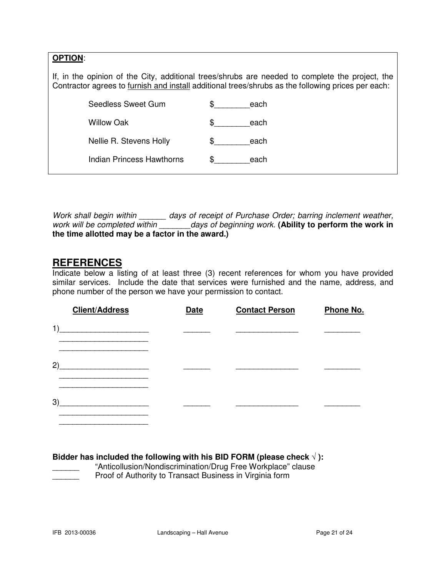| <b>OPTION:</b>                                                                                                                                                                                        |                           |   |      |
|-------------------------------------------------------------------------------------------------------------------------------------------------------------------------------------------------------|---------------------------|---|------|
| If, in the opinion of the City, additional trees/shrubs are needed to complete the project, the<br>Contractor agrees to furnish and install additional trees/shrubs as the following prices per each: |                           |   |      |
|                                                                                                                                                                                                       | Seedless Sweet Gum        |   | each |
|                                                                                                                                                                                                       | Willow Oak                | S | each |
|                                                                                                                                                                                                       | Nellie R. Stevens Holly   |   | each |
|                                                                                                                                                                                                       | Indian Princess Hawthorns |   | each |
|                                                                                                                                                                                                       |                           |   |      |

Work shall begin within \_\_\_\_\_\_ days of receipt of Purchase Order; barring inclement weather, work will be completed within \_\_\_\_\_\_\_days of beginning work. (Ability to perform the work in **the time allotted may be a factor in the award.)** 

## **REFERENCES**

Indicate below a listing of at least three (3) recent references for whom you have provided similar services. Include the date that services were furnished and the name, address, and phone number of the person we have your permission to contact.

| <b>Client/Address</b> | <b>Date</b> | <b>Contact Person</b> | Phone No. |
|-----------------------|-------------|-----------------------|-----------|
| 1)                    |             |                       |           |
| 2)                    |             |                       |           |
| 3)                    |             |                       |           |

**Bidder has included the following with his BID FORM (please check** √ **):** 

"Anticollusion/Nondiscrimination/Drug Free Workplace" clause Proof of Authority to Transact Business in Virginia form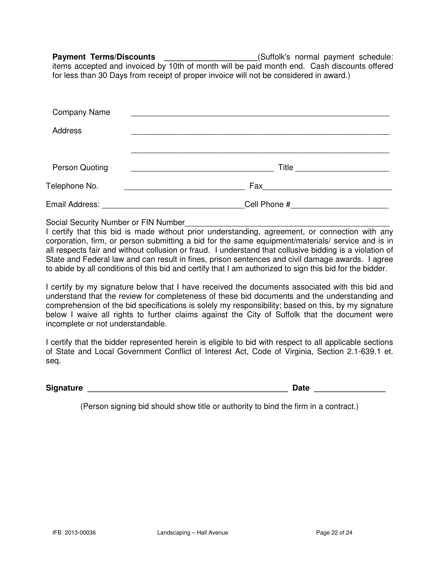Payment Terms/Discounts \_\_\_\_\_\_\_\_\_\_\_\_\_\_\_\_\_\_\_\_\_\_\_(Suffolk's normal payment schedule: items accepted and invoiced by 10th of month will be paid month end. Cash discounts offered for less than 30 Days from receipt of proper invoice will not be considered in award.)

| <b>Company Name</b>                                       |                                                                                                       |
|-----------------------------------------------------------|-------------------------------------------------------------------------------------------------------|
| <b>Address</b>                                            |                                                                                                       |
|                                                           |                                                                                                       |
| <b>Person Quoting</b>                                     | Title                                                                                                 |
| Telephone No.<br><u> 1989 - Johann Barbara, martxa al</u> | Fax 2008 2009 2010 2021 2022 2023 2024 2025 2026 2021 2022 2023 2024 2025 2026 2027 2028 2021 2022 20 |
| Email Address: ___________________                        | Cell Phone #                                                                                          |

Social Security Number or FIN Number

I certify that this bid is made without prior understanding, agreement, or connection with any corporation, firm, or person submitting a bid for the same equipment/materials/ service and is in all respects fair and without collusion or fraud. I understand that collusive bidding is a violation of State and Federal law and can result in fines, prison sentences and civil damage awards. I agree to abide by all conditions of this bid and certify that I am authorized to sign this bid for the bidder.

I certify by my signature below that I have received the documents associated with this bid and understand that the review for completeness of these bid documents and the understanding and comprehension of the bid specifications is solely my responsibility; based on this, by my signature below I waive all rights to further claims against the City of Suffolk that the document were incomplete or not understandable.

I certify that the bidder represented herein is eligible to bid with respect to all applicable sections of State and Local Government Conflict of Interest Act, Code of Virginia, Section 2.1-639.1 et. seq.

**Signature Date 2018 Contract 2018 Contract 2018 Contract 2018 Contract 2018 Contract 2018 Contract 2018 Contract 2018 Contract 2018 Contract 2018 Contract 2018 Contract 2018 Contract 2018 Contract 2018 Contract 2018 Contr** 

(Person signing bid should show title or authority to bind the firm in a contract.)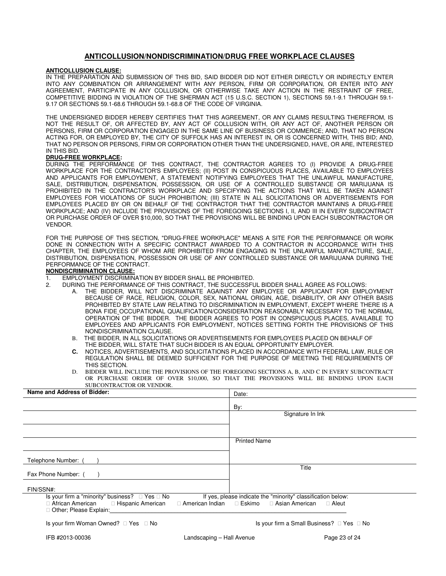#### **ANTICOLLUSION/NONDISCRIMINATION/DRUG FREE WORKPLACE CLAUSES**

#### **ANTICOLLUSION CLAUSE:**

IN THE PREPARATION AND SUBMISSION OF THIS BID, SAID BIDDER DID NOT EITHER DIRECTLY OR INDIRECTLY ENTER INTO ANY COMBINATION OR ARRANGEMENT WITH ANY PERSON, FIRM OR CORPORATION, OR ENTER INTO ANY AGREEMENT, PARTICIPATE IN ANY COLLUSION, OR OTHERWISE TAKE ANY ACTION IN THE RESTRAINT OF FREE, COMPETITIVE BIDDING IN VIOLATION OF THE SHERMAN ACT (15 U.S.C. SECTION 1), SECTIONS 59.1-9.1 THROUGH 59.1- 9.17 OR SECTIONS 59.1-68.6 THROUGH 59.1-68.8 OF THE CODE OF VIRGINIA.

THE UNDERSIGNED BIDDER HEREBY CERTIFIES THAT THIS AGREEMENT, OR ANY CLAIMS RESULTING THEREFROM, IS NOT THE RESULT OF, OR AFFECTED BY, ANY ACT OF COLLUSION WITH, OR ANY ACT OF, ANOTHER PERSON OR PERSONS, FIRM OR CORPORATION ENGAGED IN THE SAME LINE OF BUSINESS OR COMMERCE; AND, THAT NO PERSON ACTING FOR, OR EMPLOYED BY, THE CITY OF SUFFOLK HAS AN INTEREST IN, OR IS CONCERNED WITH, THIS BID; AND, THAT NO PERSON OR PERSONS, FIRM OR CORPORATION OTHER THAN THE UNDERSIGNED, HAVE, OR ARE, INTERESTED IN THIS BID.

#### **DRUG-FREE WORKPLACE:**

DURING THE PERFORMANCE OF THIS CONTRACT, THE CONTRACTOR AGREES TO (I) PROVIDE A DRUG-FREE WORKPLACE FOR THE CONTRACTOR'S EMPLOYEES; (II) POST IN CONSPICUOUS PLACES, AVAILABLE TO EMPLOYEES AND APPLICANTS FOR EMPLOYMENT, A STATEMENT NOTIFYING EMPLOYEES THAT THE UNLAWFUL MANUFACTURE, SALE, DISTRIBUTION, DISPENSATION, POSSESSION, OR USE OF A CONTROLLED SUBSTANCE OR MARIJUANA IS PROHIBITED IN THE CONTRACTOR'S WORKPLACE AND SPECIFYING THE ACTIONS THAT WILL BE TAKEN AGAINST EMPLOYEES FOR VIOLATIONS OF SUCH PROHIBITION; (III) STATE IN ALL SOLICITATIONS OR ADVERTISEMENTS FOR EMPLOYEES PLACED BY OR ON BEHALF OF THE CONTRACTOR THAT THE CONTRACTOR MAINTAINS A DRUG-FREE WORKPLACE; AND (IV) INCLUDE THE PROVISIONS OF THE FOREGOING SECTIONS I, II, AND III IN EVERY SUBCONTRACT OR PURCHASE ORDER OF OVER \$10,000, SO THAT THE PROVISIONS WILL BE BINDING UPON EACH SUBCONTRACTOR OR VENDOR.

FOR THE PURPOSE OF THIS SECTION, "DRUG-FREE WORKPLACE" MEANS A SITE FOR THE PERFORMANCE OR WORK DONE IN CONNECTION WITH A SPECIFIC CONTRACT AWARDED TO A CONTRACTOR IN ACCORDANCE WITH THIS CHAPTER, THE EMPLOYEES OF WHOM ARE PROHIBITED FROM ENGAGING IN THE UNLAWFUL MANUFACTURE, SALE, DISTRIBUTION, DISPENSATION, POSSESSION OR USE OF ANY CONTROLLED SUBSTANCE OR MARIJUANA DURING THE PERFORMANCE OF THE CONTRACT.

#### **NONDISCRIMINATION CLAUSE:**

- 1. EMPLOYMENT DISCRIMINATION BY BIDDER SHALL BE PROHIBITED.
- 2. DURING THE PERFORMANCE OF THIS CONTRACT, THE SUCCESSFUL BIDDER SHALL AGREE AS FOLLOWS:
- A. THE BIDDER, WILL NOT DISCRIMINATE AGAINST ANY EMPLOYEE OR APPLICANT FOR EMPLOYMENT BECAUSE OF RACE, RELIGION, COLOR, SEX, NATIONAL ORIGIN, AGE, DISABILITY, OR ANY OTHER BASIS PROHIBITED BY STATE LAW RELATING TO DISCRIMINATION IN EMPLOYMENT, EXCEPT WHERE THERE IS A BONA FIDE OCCUPATIONAL QUALIFICATION/CONSIDERATION REASONABLY NECESSARY TO THE NORMAL OPERATION OF THE BIDDER. THE BIDDER AGREES TO POST IN CONSPICUOUS PLACES, AVAILABLE TO EMPLOYEES AND APPLICANTS FOR EMPLOYMENT, NOTICES SETTING FORTH THE PROVISIONS OF THIS NONDISCRIMINATION CLAUSE.
	- B. THE BIDDER, IN ALL SOLICITATIONS OR ADVERTISEMENTS FOR EMPLOYEES PLACED ON BEHALF OF THE BIDDER, WILL STATE THAT SUCH BIDDER IS AN EQUAL OPPORTUNITY EMPLOYER.
	- **C.** NOTICES, ADVERTISEMENTS, AND SOLICITATIONS PLACED IN ACCORDANCE WITH FEDERAL LAW, RULE OR REGULATION SHALL BE DEEMED SUFFICIENT FOR THE PURPOSE OF MEETING THE REQUIREMENTS OF THIS SECTION.
	- D. BIDDER WILL INCLUDE THE PROVISIONS OF THE FOREGOING SECTIONS A, B, AND C IN EVERY SUBCONTRACT OR PURCHASE ORDER OF OVER \$10,000, SO THAT THE PROVISIONS WILL BE BINDING UPON EACH SUBCONTRACTOR OR VENDOR.

| Name and Address of Bidder:                                                                                                          | Date:                                                                                   |
|--------------------------------------------------------------------------------------------------------------------------------------|-----------------------------------------------------------------------------------------|
|                                                                                                                                      | By:                                                                                     |
|                                                                                                                                      | Signature In Ink                                                                        |
|                                                                                                                                      |                                                                                         |
|                                                                                                                                      | <b>Printed Name</b>                                                                     |
| Telephone Number: (                                                                                                                  |                                                                                         |
| Fax Phone Number: (                                                                                                                  | Title                                                                                   |
| FIN/SSN#:                                                                                                                            |                                                                                         |
| Is your firm a "minority" business? Yes No<br>African American Hispanic American<br>American Indian Eskimo<br>Other; Please Explain: | If yes, please indicate the "minority" classification below:<br>Asian American<br>Aleut |
| Is your firm Woman Owned?<br>Yes<br>No                                                                                               | Is your firm a Small Business? Yes<br>No                                                |